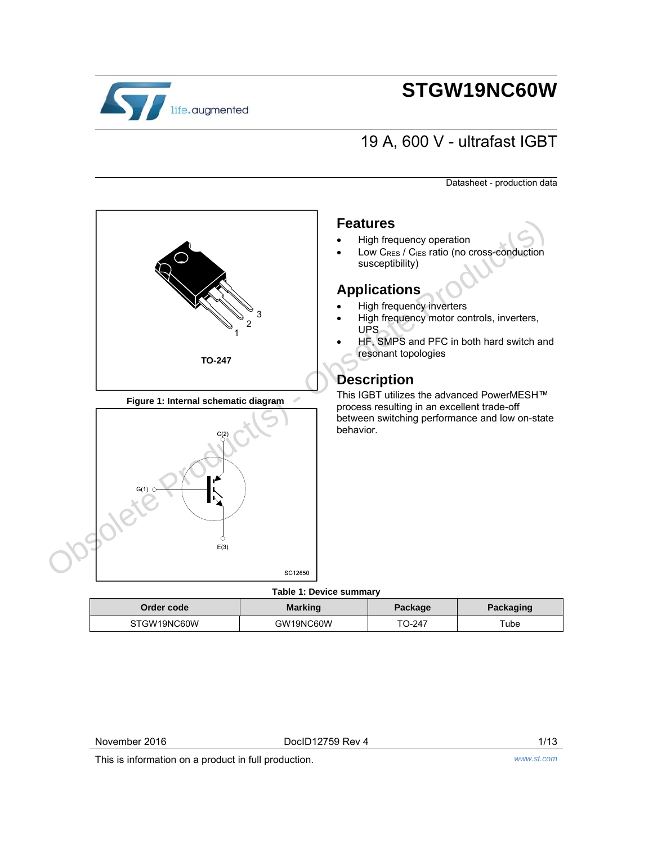

# **STGW19NC60W**

## 19 A, 600 V - ultrafast IGBT

Datasheet - production data



### **Features**

- High frequency operation
- Low CRES / CIES ratio (no cross-conduction susceptibility)

## **Applications**

- High frequency inverters
- High frequency motor controls, inverters, UPS
- HF, SMPS and PFC in both hard switch and resonant topologies

## **Description**

This IGBT utilizes the advanced PowerMESH™ process resulting in an excellent trade-off between switching performance and low on-state behavior.

### **Table 1: Device summary**

| Order code  | <b>Marking</b> | Package | Packaging |
|-------------|----------------|---------|-----------|
| STGW19NC60W | GW19NC60W      | TO-247  | ™ube      |

November 2016 **Doclous Server 2016 Doclous Blue 2016 Doclous Rev 4** 1/13

This is information on a product in full production. *www.st.com*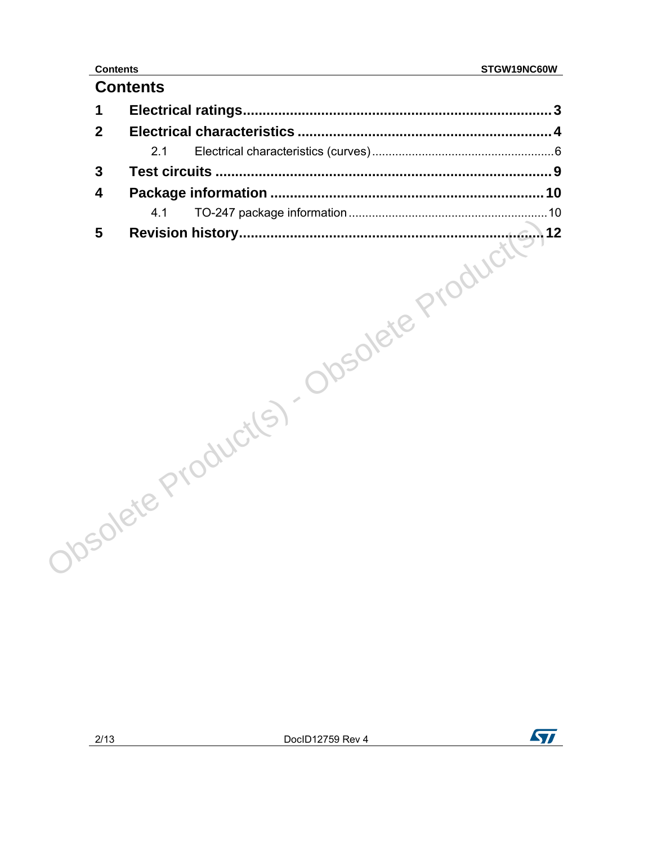## **Contents**

| Joselete Product(S) - Obsolete Product(S) |  |
|-------------------------------------------|--|

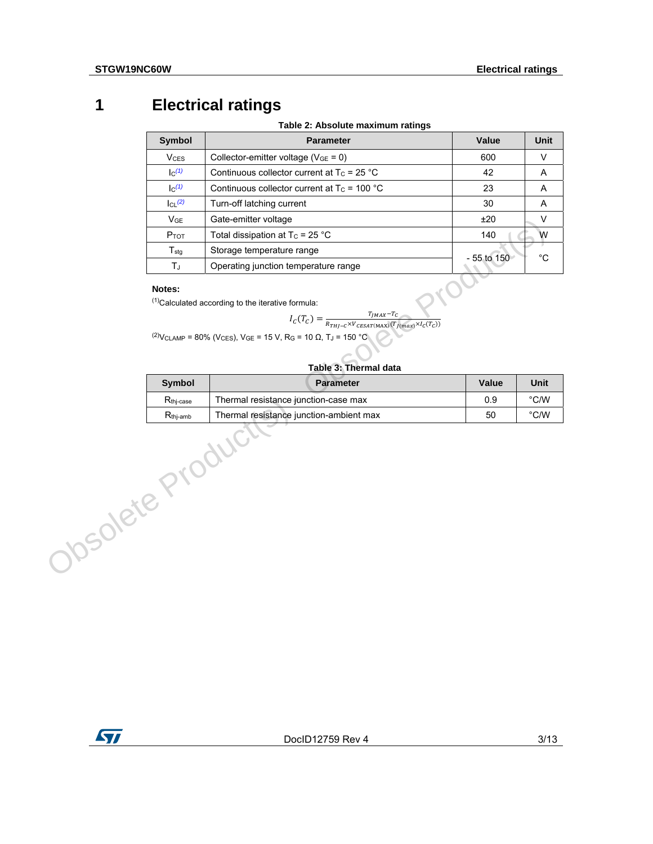## **1 Electrical ratings**

**Table 2: Absolute maximum ratings** 

|                  | <b>Symbol</b>         | <b>Parameter</b>                                                                                                                                                                                                                                                                                                                         | Value          | <b>Unit</b>       |
|------------------|-----------------------|------------------------------------------------------------------------------------------------------------------------------------------------------------------------------------------------------------------------------------------------------------------------------------------------------------------------------------------|----------------|-------------------|
|                  | V <sub>CES</sub>      | Collector-emitter voltage ( $V_{GE} = 0$ )                                                                                                                                                                                                                                                                                               | 600            | $\vee$            |
|                  | $\mathsf{I}^{(1)}$    | Continuous collector current at $T_c = 25 °C$                                                                                                                                                                                                                                                                                            | 42             | Α                 |
|                  | $\mathsf{lc}^{(1)}$   | Continuous collector current at $T_c$ = 100 °C                                                                                                                                                                                                                                                                                           | 23             | A                 |
|                  | $ CL^{(2)} $          | Turn-off latching current                                                                                                                                                                                                                                                                                                                | 30             | Α                 |
|                  | <b>V<sub>GE</sub></b> | Gate-emitter voltage                                                                                                                                                                                                                                                                                                                     | ±20            | $\sf V$           |
|                  | Ртот                  | Total dissipation at $T_c = 25 °C$                                                                                                                                                                                                                                                                                                       | 140            | W                 |
|                  | $T_{\text{stg}}$      | Storage temperature range                                                                                                                                                                                                                                                                                                                | $-55$ to $150$ | $^{\circ}{\rm C}$ |
|                  | TJ                    | Operating junction temperature range                                                                                                                                                                                                                                                                                                     |                |                   |
|                  |                       | <sup>(1)</sup> Calculated according to the iterative formula:<br>$I_{C}(T_{C}) = \frac{T_{JMAX}-T_{C}}{R_{THJ-C} \times V_{CESAT(MAX)}(T_{J(max)} \times I_{C}(T_{C}))}$<br><sup>(2)</sup> V <sub>CLAMP</sub> = 80% (V <sub>CES</sub> ), V <sub>GE</sub> = 15 V, R <sub>G</sub> = 10 Ω, T <sub>J</sub> = 150 °C<br>Table 3: Thermal data |                |                   |
|                  | Symbol                | <b>Parameter</b>                                                                                                                                                                                                                                                                                                                         | Value          | Unit              |
|                  | $R_{\text{thj-case}}$ | Thermal resistance junction-case max                                                                                                                                                                                                                                                                                                     | 0.9            | $^{\circ}$ C/W    |
|                  |                       | Thermal resistance junction-ambient max                                                                                                                                                                                                                                                                                                  | 50             | $^{\circ}$ C/W    |
| JOSONE'S Product |                       |                                                                                                                                                                                                                                                                                                                                          |                |                   |

#### **Notes:**

### **Table 3: Thermal data**

| Symbol               | <b>Parameter</b>                        | Value | Unit          |
|----------------------|-----------------------------------------|-------|---------------|
| $R_{\rm thi-case}$   | Thermal resistance junction-case max    | 0.9   | $\degree$ C/W |
| $R_{\text{thi-amb}}$ | Thermal resistance junction-ambient max | 50    | $\degree$ C/W |

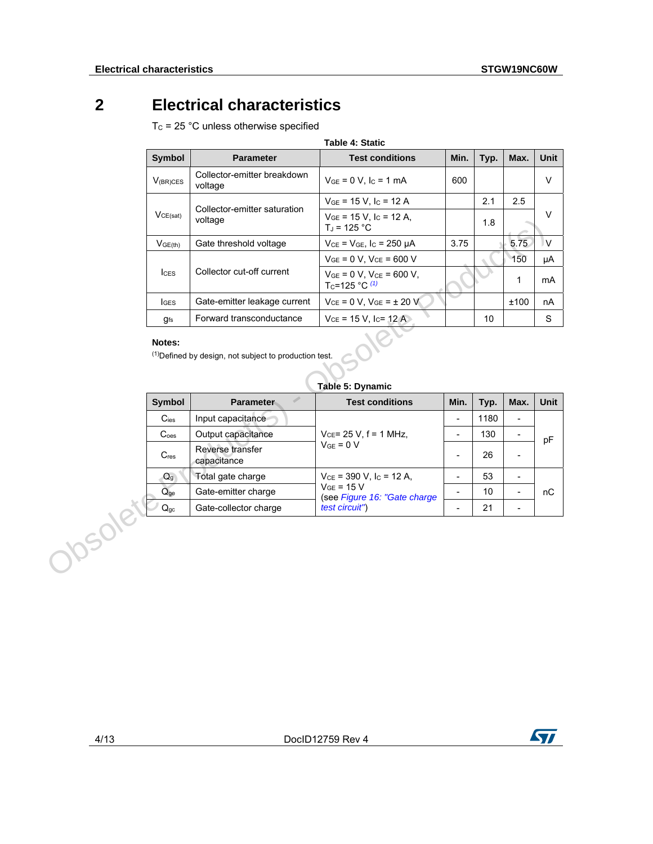## **2 Electrical characteristics**

 $T_c$  = 25 °C unless otherwise specified

| <b>Table 4: Static</b>                                                      |                                        |                                                                     |      |      |      |             |  |
|-----------------------------------------------------------------------------|----------------------------------------|---------------------------------------------------------------------|------|------|------|-------------|--|
| <b>Symbol</b>                                                               | <b>Parameter</b>                       | <b>Test conditions</b>                                              | Min. | Typ. | Max. | <b>Unit</b> |  |
| $V_{(BR)CES}$                                                               | Collector-emitter breakdown<br>voltage | $V_{GE} = 0 V$ , $I_C = 1 mA$                                       | 600  |      |      | $\vee$      |  |
|                                                                             | Collector-emitter saturation           | $V_{GE}$ = 15 V, I <sub>C</sub> = 12 A                              |      | 2.1  | 2.5  |             |  |
| VCE(sat)                                                                    | voltage                                | $V_{GE}$ = 15 V, I <sub>C</sub> = 12 A,<br>$T_{\rm d}$ = 125 °C     |      | 1.8  |      | v           |  |
| $V_{GE(th)}$                                                                | Gate threshold voltage                 | $V_{CE} = V_{GE}$ , $I_C = 250 \mu A$                               | 3.75 |      | 5.75 | V           |  |
|                                                                             |                                        | $V_{GE} = 0 V$ , $V_{CE} = 600 V$                                   |      |      | 150  | μA          |  |
| $_{\text{lcss}}$                                                            | Collector cut-off current              | $V_{GE} = 0 V$ . $V_{CE} = 600 V$ .<br>T <sub>C</sub> =125 °C $(1)$ |      |      | 1    | mA          |  |
| <b>I</b> GES                                                                | Gate-emitter leakage current           | $V_{CE} = 0 V$ , $V_{GE} = \pm 20 V$                                |      |      | ±100 | nA          |  |
| gfs                                                                         | Forward transconductance               | $V_{CE}$ = 15 V, I <sub>C</sub> = 12 A                              |      | 10   |      | S           |  |
| Notes:<br><sup>(1)</sup> Defined by design, not subject to production test. |                                        |                                                                     |      |      |      |             |  |

### **Notes:**

**Table 5: Dynamic** 

|       |                                                                                                 | voltage                         | $VGE = IJV, IC = IZH,$<br>$T_J = 125 °C$                            |                          | 1.8  |                          |             |
|-------|-------------------------------------------------------------------------------------------------|---------------------------------|---------------------------------------------------------------------|--------------------------|------|--------------------------|-------------|
|       | V <sub>GE(th)</sub>                                                                             | Gate threshold voltage          | $V_{CE} = V_{GE}$ , $I_C = 250 \mu A$                               | 3.75                     |      | 5.75                     | $\vee$      |
|       |                                                                                                 |                                 | $V_{GE} = 0 V$ , $V_{CE} = 600 V$                                   |                          |      | 150                      | μA          |
|       | lc <sub>ES</sub>                                                                                | Collector cut-off current       | $V_{GE} = 0 V$ , $V_{CE} = 600 V$ ,<br>T <sub>c</sub> =125 °C $(1)$ |                          |      | 1                        | mA          |
|       | <b>I</b> GES                                                                                    | Gate-emitter leakage current    | $V_{CE} = 0 V, V_{GE} = \pm 20 V$                                   |                          |      | ±100                     | nA          |
|       | $g_{fs}$                                                                                        | Forward transconductance        | $V_{CE}$ = 15 V, I <sub>C</sub> = 12 A                              |                          | 10   |                          | S           |
|       | Notes:<br><sup>(1)</sup> Defined by design, not subject to production test.<br>Table 5: Dynamic |                                 |                                                                     |                          |      |                          |             |
|       |                                                                                                 |                                 |                                                                     |                          |      |                          |             |
|       | Symbol                                                                                          | P<br><b>Parameter</b>           | <b>Test conditions</b>                                              | Min.                     | Typ. | Max.                     | <b>Unit</b> |
|       | $C_{\text{ies}}$                                                                                | Input capacitance               |                                                                     | $\overline{a}$           | 1180 | $\overline{\phantom{a}}$ |             |
|       | C <sub>oes</sub>                                                                                | Output capacitance              | $V_{CE}$ = 25 V, f = 1 MHz,                                         | $\overline{\phantom{0}}$ | 130  | $\overline{\phantom{a}}$ |             |
|       | $C_{res}$                                                                                       | Reverse transfer<br>capacitance | $VGE = 0 V$                                                         | $\blacksquare$           | 26   | $\overline{\phantom{a}}$ | pF          |
|       | $Q_g$                                                                                           | Total gate charge               | $V_{CE}$ = 390 V, I <sub>C</sub> = 12 A,                            | Ξ.                       | 53   | $\blacksquare$           |             |
|       | $Q_{q}$                                                                                         | Gate-emitter charge             | $V_{GE}$ = 15 V                                                     | $\blacksquare$           | 10   | $\overline{\phantom{a}}$ | nC          |
| nsole | $Q_{gc}$                                                                                        | Gate-collector charge           | (see Figure 16: "Gate charge<br>test circuit")                      | Ξ.                       | 21   | $\overline{\phantom{a}}$ |             |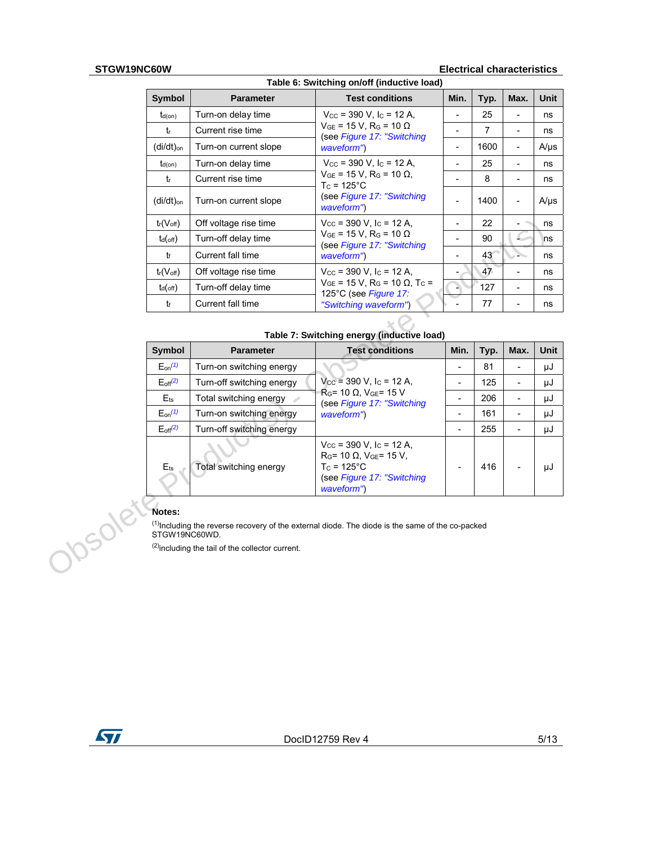#### **STGW19NC60W Electrical characteristics**

| Table 6: Switching on/off (inductive load) |                       |                                                                                           |      |      |                          |             |  |
|--------------------------------------------|-----------------------|-------------------------------------------------------------------------------------------|------|------|--------------------------|-------------|--|
| <b>Symbol</b>                              | <b>Parameter</b>      | <b>Test conditions</b>                                                                    | Min. | Typ. | Max.                     | <b>Unit</b> |  |
| $t_{d(on)}$                                | Turn-on delay time    | $V_{\text{CC}}$ = 390 V, I <sub>C</sub> = 12 A,                                           | ۰    | 25   | ۰                        | ns          |  |
| tr                                         | Current rise time     | $V_{GE}$ = 15 V, R <sub>G</sub> = 10 $\Omega$<br>(see Figure 17: "Switching               |      | 7    | ۰                        | ns          |  |
| (di/dt) <sub>on</sub>                      | Turn-on current slope | waveform")                                                                                | -    | 1600 | $\overline{\phantom{a}}$ | $A/\mu s$   |  |
| $t_{d(on)}$                                | Turn-on delay time    | $V_{\text{CC}}$ = 390 V, I <sub>C</sub> = 12 A,                                           |      | 25   |                          | ns          |  |
| $t_{r}$                                    | Current rise time     | $V_{GE}$ = 15 V, R <sub>G</sub> = 10 Ω,<br>$T_c = 125$ °C                                 |      | 8    | ۰                        | ns          |  |
| (di/dt) <sub>on</sub>                      | Turn-on current slope | (see Figure 17: "Switching<br>waveform")                                                  |      | 1400 | $\overline{a}$           | $A/\mu s$   |  |
| $t_r(V_{\text{off}})$                      | Off voltage rise time | $V_{\text{CC}}$ = 390 V, I <sub>C</sub> = 12 A,                                           |      | 22   |                          | ns          |  |
| $t_d$ (off)                                | Turn-off delay time   | $V_{GE}$ = 15 V, R <sub>G</sub> = 10 $\Omega$<br>(see Figure 17: "Switching               |      | 90   |                          | ns          |  |
| tr                                         | Current fall time     | waveform")                                                                                | -    | 43   |                          | ns          |  |
| $t_r(V_{off})$                             | Off voltage rise time | $V_{\text{CC}}$ = 390 V, I <sub>C</sub> = 12 A,                                           |      | 47   |                          | ns          |  |
| $t_d$ (off)                                | Turn-off delay time   | $V_{GE}$ = 15 V, R <sub>G</sub> = 10 $\Omega$ , T <sub>C</sub> =<br>125°C (see Figure 17: |      | 127  | -                        | ns          |  |
| tf                                         | Current fall time     | "Switching waveform")                                                                     |      | 77   |                          | ns          |  |

### **Table 7: Switching energy (inductive load)**

|     | $t_r(V_{off})$                                                               | Off voltage rise time                                                                                                                                                        | $V_{\text{CC}}$ = 390 V, I <sub>C</sub> = 12 A,                                                                                                               |                          | 22   |                          | ns          |
|-----|------------------------------------------------------------------------------|------------------------------------------------------------------------------------------------------------------------------------------------------------------------------|---------------------------------------------------------------------------------------------------------------------------------------------------------------|--------------------------|------|--------------------------|-------------|
|     | $t_d$ (off)                                                                  | Turn-off delay time                                                                                                                                                          | $V_{GE}$ = 15 V, R <sub>G</sub> = 10 $\Omega$<br>(see Figure 17: "Switching                                                                                   |                          | 90   |                          | ns          |
|     | t                                                                            | Current fall time<br>waveform")                                                                                                                                              |                                                                                                                                                               | $\overline{\phantom{0}}$ | 43   |                          | ns          |
|     | $t_r(V_{off})$                                                               | Off voltage rise time                                                                                                                                                        | $V_{\text{CC}}$ = 390 V, I <sub>C</sub> = 12 A,                                                                                                               |                          | 47   | ä,                       | ns          |
|     | $t_{d(\text{off})}$                                                          | Turn-off delay time                                                                                                                                                          | $V_{GE}$ = 15 V, R <sub>G</sub> = 10 $\Omega$ , T <sub>C</sub> =<br>125°C (see Figure 17:                                                                     |                          | 127  | $\overline{\phantom{0}}$ | ns          |
|     | tr                                                                           | Current fall time                                                                                                                                                            | "Switching waveform")                                                                                                                                         |                          | 77   | $\overline{\phantom{0}}$ | ns          |
|     |                                                                              |                                                                                                                                                                              |                                                                                                                                                               |                          |      |                          |             |
|     |                                                                              |                                                                                                                                                                              | Table 7: Switching energy (inductive load)                                                                                                                    |                          |      |                          |             |
|     | <b>Symbol</b>                                                                | <b>Parameter</b>                                                                                                                                                             | <b>Test conditions</b>                                                                                                                                        | Min.                     | Typ. | Max.                     | <b>Unit</b> |
|     | $E_{on}$ <sup>(1)</sup>                                                      | Turn-on switching energy                                                                                                                                                     |                                                                                                                                                               | $\overline{\phantom{0}}$ | 81   | $\blacksquare$           | μJ          |
|     | $E_{off}(2)$                                                                 | $V_{CC}$ = 390 V, I <sub>C</sub> = 12 A,<br>Turn-off switching energy<br>$RG$ = 10 $\Omega$ , V <sub>GE</sub> = 15 V<br>Total switching energy<br>(see Figure 17: "Switching |                                                                                                                                                               |                          | 125  | $\blacksquare$           | μJ          |
|     | $E$ <sub>ts</sub>                                                            |                                                                                                                                                                              |                                                                                                                                                               | $\overline{\phantom{a}}$ | 206  | $\blacksquare$           | μJ          |
|     | $E_{on}$ <sup>(1)</sup>                                                      | Turn-on switching energy                                                                                                                                                     | waveform")                                                                                                                                                    | $\overline{\phantom{a}}$ | 161  | $\overline{\phantom{a}}$ | μJ          |
|     | $E_{\text{off}}^{(2)}$                                                       | Turn-off switching energy                                                                                                                                                    |                                                                                                                                                               | $\overline{a}$           | 255  | $\blacksquare$           | μJ          |
|     | $E$ <sub>ts</sub>                                                            | Total switching energy                                                                                                                                                       | $V_{\text{CC}}$ = 390 V, I <sub>C</sub> = 12 A,<br>$RG$ = 10 $\Omega$ , V <sub>GE</sub> = 15 V,<br>$T_c = 125$ °C<br>(see Figure 17: "Switching<br>waveform") |                          | 416  |                          | μJ          |
|     | Notes:                                                                       |                                                                                                                                                                              | $(1)$ Including the reverse recovery of the external diode. The diode is the same of the co-packed                                                            |                          |      |                          |             |
| nso | STGW19NC60WD.<br><sup>(2)</sup> including the tail of the collector current. |                                                                                                                                                                              |                                                                                                                                                               |                          |      |                          |             |

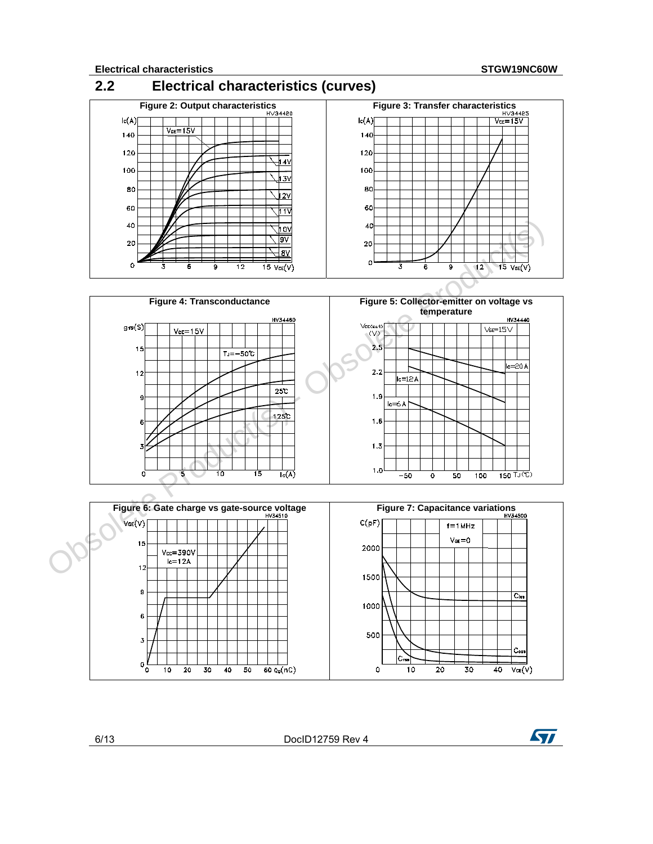







6/13 DocID12759 Rev 4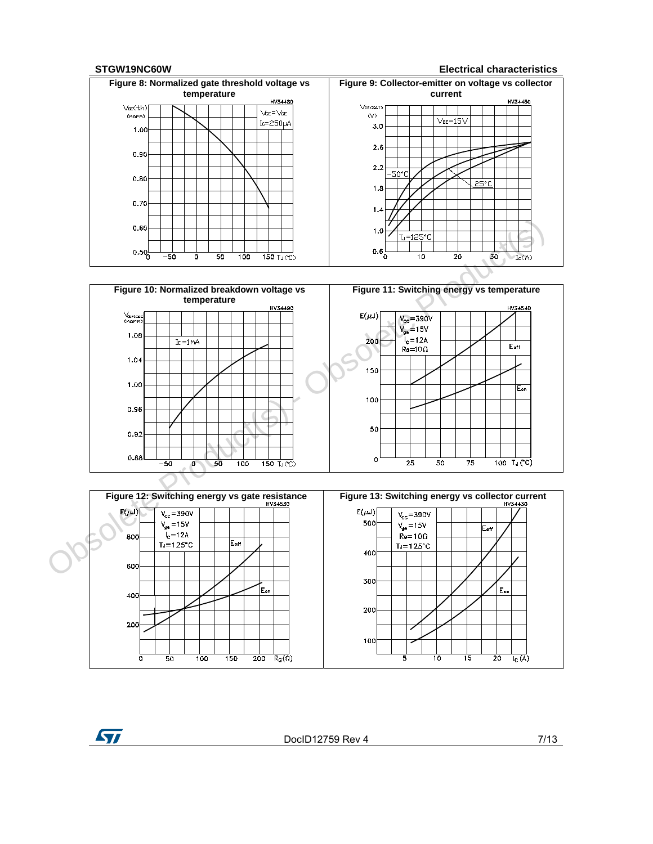**STGW19NC60W Electrical characteristics**







ST

DocID12759 Rev 4 7/13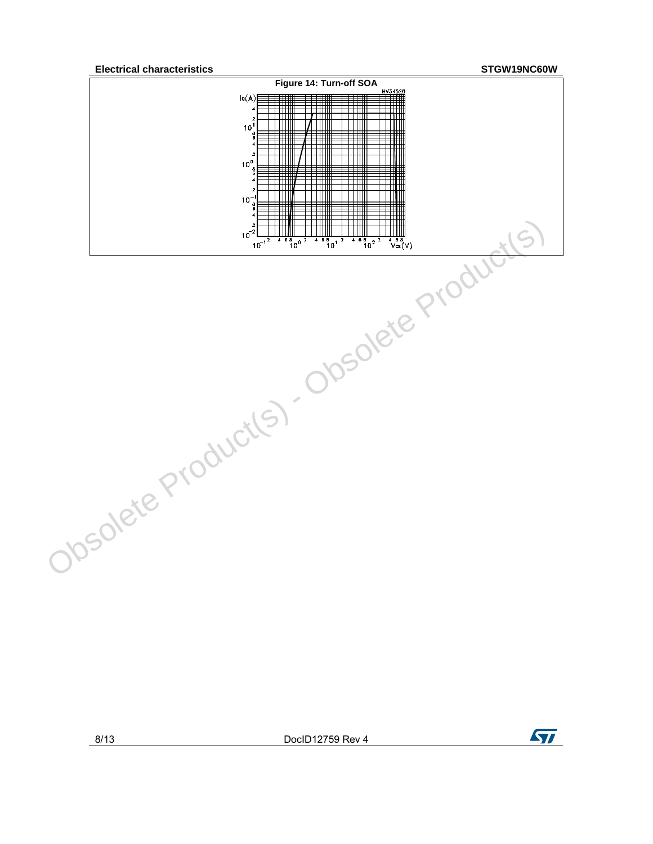**Electrical characteristics STGW19NC60W**



8/13 DocID12759 Rev 4

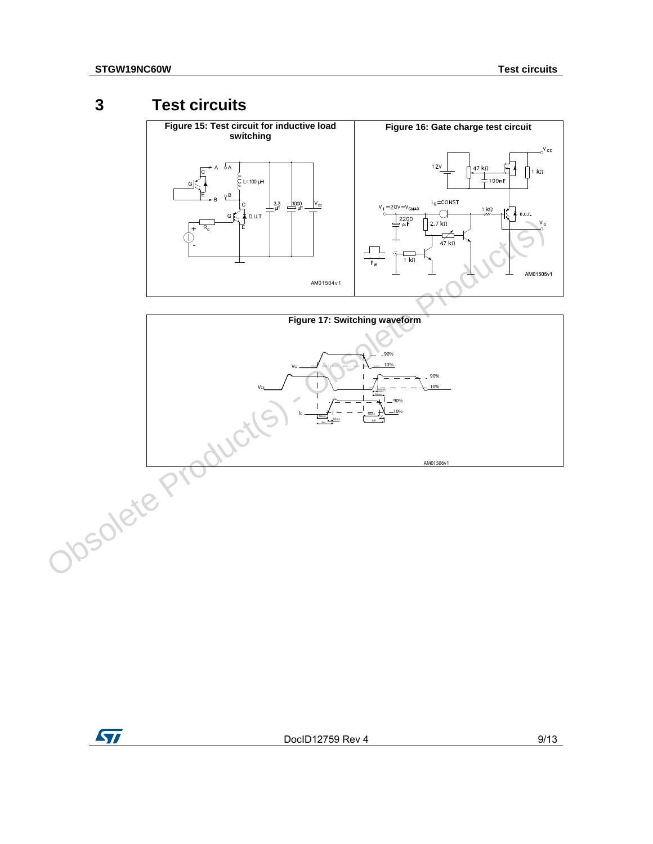## **3 Test circuits**





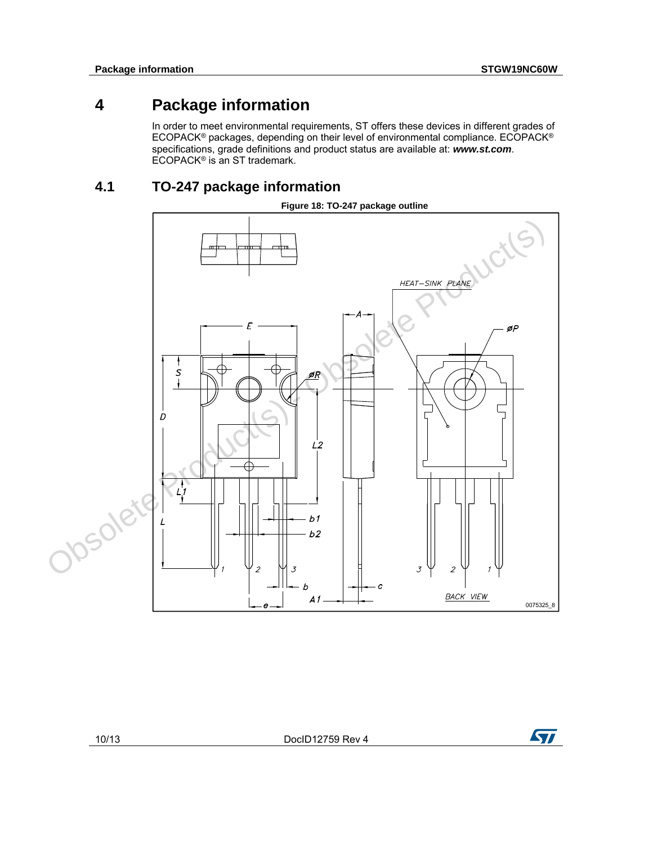## **4 Package information**

In order to meet environmental requirements, ST offers these devices in different grades of ECOPACK<sup>®</sup> packages, depending on their level of environmental compliance. ECOPACK<sup>®</sup> specifications, grade definitions and product status are available at: *www.st.com*. ECOPACK® is an ST trademark.

## **4.1 TO-247 package information**

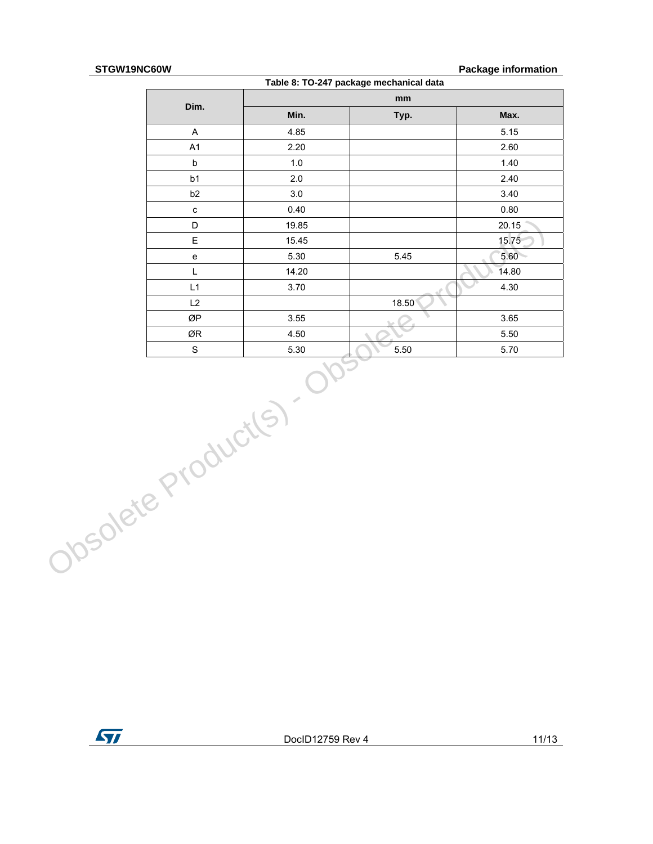#### **STGW19NC60W Package information**

|                    |                                   |       | Table 8: TO-247 package mechanical data |       |
|--------------------|-----------------------------------|-------|-----------------------------------------|-------|
|                    |                                   |       | mm                                      |       |
|                    | Dim.                              | Min.  | Typ.                                    | Max.  |
|                    | $\boldsymbol{\mathsf{A}}$         | 4.85  |                                         | 5.15  |
|                    | A1                                | 2.20  |                                         | 2.60  |
|                    | $\mathsf b$                       | 1.0   |                                         | 1.40  |
|                    | b <sub>1</sub>                    | 2.0   |                                         | 2.40  |
|                    | b2                                | 3.0   |                                         | 3.40  |
|                    | $\mathtt{c}$                      | 0.40  |                                         | 0.80  |
|                    | D                                 | 19.85 |                                         | 20.15 |
|                    | E                                 | 15.45 |                                         | 15.75 |
|                    | $\mathsf{e}% _{t}\left( t\right)$ | 5.30  | 5.45                                    | 5.60  |
|                    | L                                 | 14.20 |                                         | 14.80 |
|                    | L1                                | 3.70  |                                         | 4.30  |
|                    | L2                                |       | 18.50                                   |       |
|                    | ØP                                | 3.55  |                                         | 3.65  |
|                    | ØR                                | 4.50  |                                         | 5.50  |
|                    | $\mathbf S$                       | 5.30  | 5.50                                    | 5.70  |
| Josolete Products) |                                   |       |                                         |       |

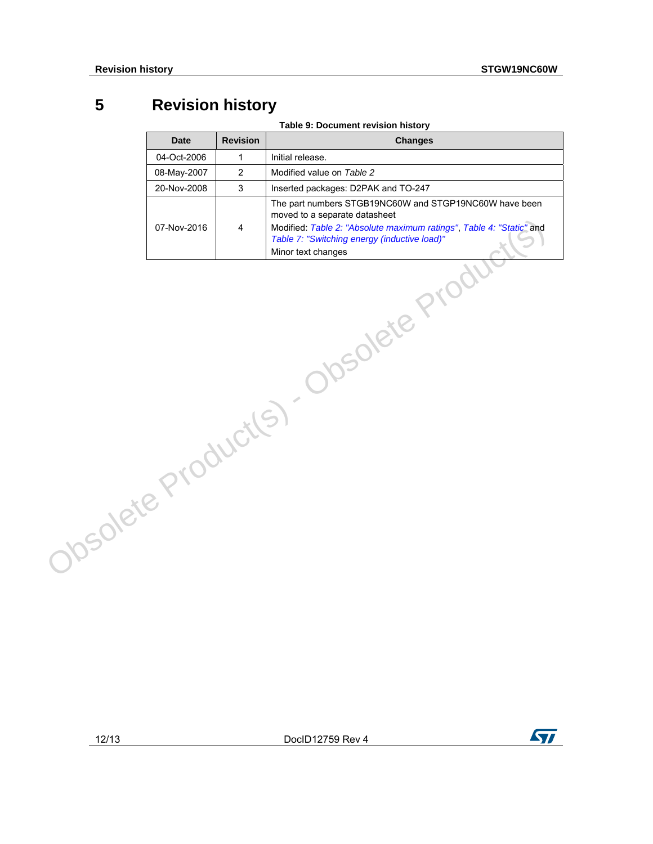## **5 Revision history**

**Table 9: Document revision history** 

|                   | <b>Date</b> | <b>Revision</b> | <b>Changes</b>                                                                                                                                                                                                                        |
|-------------------|-------------|-----------------|---------------------------------------------------------------------------------------------------------------------------------------------------------------------------------------------------------------------------------------|
|                   | 04-Oct-2006 | $\mathbf{1}$    | Initial release.                                                                                                                                                                                                                      |
|                   | 08-May-2007 | $\overline{2}$  | Modified value on Table 2                                                                                                                                                                                                             |
|                   | 20-Nov-2008 | 3               | Inserted packages: D2PAK and TO-247                                                                                                                                                                                                   |
|                   | 07-Nov-2016 | $\overline{4}$  | The part numbers STGB19NC60W and STGP19NC60W have been<br>moved to a separate datasheet<br>Modified: Table 2: "Absolute maximum ratings", Table 4: "Static" and<br>Table 7: "Switching energy (inductive load)"<br>Minor text changes |
| Josolete Products |             |                 | Josolete P<br>$\mathcal{A}$                                                                                                                                                                                                           |